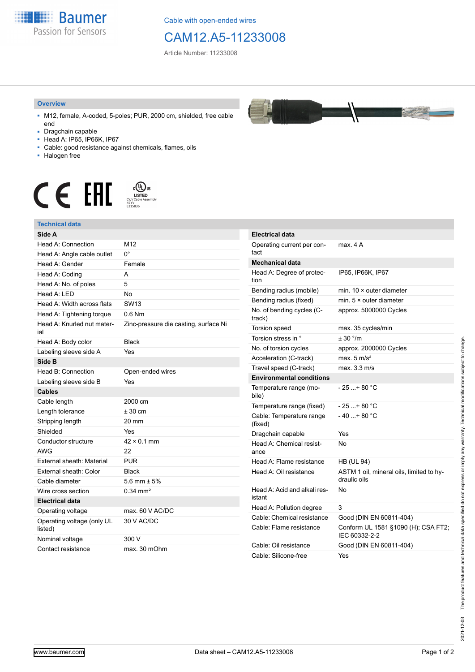

Cable with open-ended wires

## CAM12.A5-11233008

Article Number: 11233008

## **Overview**

- M12, female, A-coded, 5-poles; PUR, 2000 cm, shielded, free cable end
- Dragchain capable
- Head A: IP65, IP66K, IP67
- Cable: good resistance against chemicals, flames, oils
- Halogen free



## **Technical data**

| Side A                                |                                       | Ele         |
|---------------------------------------|---------------------------------------|-------------|
| Head A: Connection                    | M12                                   | Op          |
| Head A: Angle cable outlet            | $0^{\circ}$                           | tac         |
| Head A: Gender                        | Female                                | Me          |
| Head A: Coding                        | A                                     | Hei         |
| Head A: No. of poles                  | 5                                     | tior        |
| Head A: LED                           | <b>No</b>                             | Ber         |
| Head A: Width across flats            | <b>SW13</b>                           | Ber         |
| Head A: Tightening torque             | $0.6$ Nm                              | No.<br>trao |
| Head A: Knurled nut mater-<br>ial     | Zinc-pressure die casting, surface Ni | Tor         |
| Head A: Body color                    | <b>Black</b>                          | Tor         |
| Labeling sleeve side A                | Yes                                   | No.         |
| Side B                                |                                       | Aco         |
| Head B: Connection                    | Open-ended wires                      | Tra         |
| Labeling sleeve side B                | Yes                                   | En          |
| <b>Cables</b>                         |                                       | Ter<br>bile |
| Cable length                          | 2000 cm                               | Ter         |
| Length tolerance                      | $± 30$ cm                             | Cal         |
| Stripping length                      | 20 mm                                 | (fix        |
| Shielded                              | Yes                                   | Dra         |
| Conductor structure                   | $42 \times 0.1$ mm                    | He          |
| <b>AWG</b>                            | 22                                    | ano         |
| External sheath: Material             | <b>PUR</b>                            | Hei         |
| External sheath: Color                | <b>Black</b>                          | He          |
| Cable diameter                        | 5.6 mm $\pm$ 5%                       |             |
| Wire cross section                    | $0.34$ mm <sup>2</sup>                | He          |
| <b>Electrical data</b>                |                                       | ista        |
| Operating voltage                     | max. 60 V AC/DC                       | He          |
| Operating voltage (only UL<br>listed) | 30 V AC/DC                            | Cal<br>Cal  |
| Nominal voltage                       | 300 V                                 |             |
| Contact resistance                    | max. 30 mOhm                          | Cal<br>Cal  |